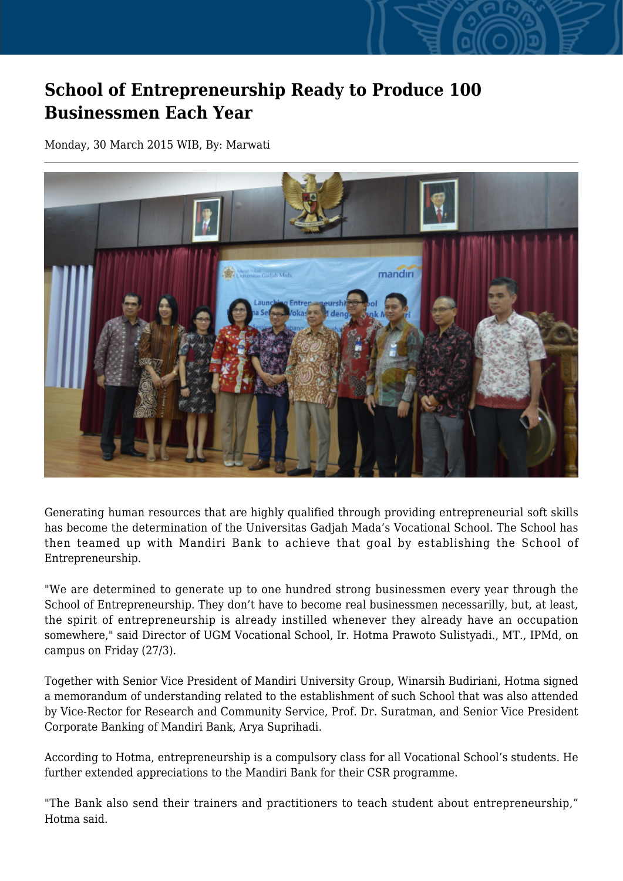## **School of Entrepreneurship Ready to Produce 100 Businessmen Each Year**

Monday, 30 March 2015 WIB, By: Marwati



Generating human resources that are highly qualified through providing entrepreneurial soft skills has become the determination of the Universitas Gadjah Mada's Vocational School. The School has then teamed up with Mandiri Bank to achieve that goal by establishing the School of Entrepreneurship.

"We are determined to generate up to one hundred strong businessmen every year through the School of Entrepreneurship. They don't have to become real businessmen necessarilly, but, at least, the spirit of entrepreneurship is already instilled whenever they already have an occupation somewhere," said Director of UGM Vocational School, Ir. Hotma Prawoto Sulistyadi., MT., IPMd, on campus on Friday (27/3).

Together with Senior Vice President of Mandiri University Group, Winarsih Budiriani, Hotma signed a memorandum of understanding related to the establishment of such School that was also attended by Vice-Rector for Research and Community Service, Prof. Dr. Suratman, and Senior Vice President Corporate Banking of Mandiri Bank, Arya Suprihadi.

According to Hotma, entrepreneurship is a compulsory class for all Vocational School's students. He further extended appreciations to the Mandiri Bank for their CSR programme.

"The Bank also send their trainers and practitioners to teach student about entrepreneurship," Hotma said.